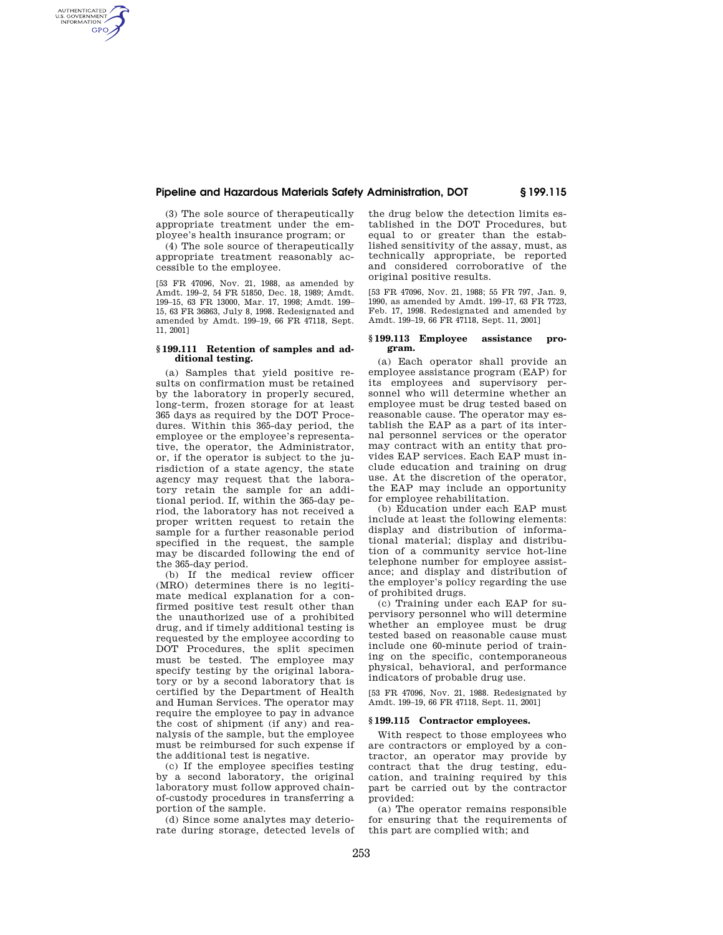# **Pipeline and Hazardous Materials Safety Administration, DOT § 199.115**

(3) The sole source of therapeutically appropriate treatment under the employee's health insurance program; or

AUTHENTICATED<br>U.S. GOVERNMENT<br>INFORMATION **GPO** 

> (4) The sole source of therapeutically appropriate treatment reasonably accessible to the employee.

> [53 FR 47096, Nov. 21, 1988, as amended by Amdt. 199–2, 54 FR 51850, Dec. 18, 1989; Amdt. 199–15, 63 FR 13000, Mar. 17, 1998; Amdt. 199– 15, 63 FR 36863, July 8, 1998. Redesignated and amended by Amdt. 199–19, 66 FR 47118, Sept. 11, 2001]

### **§ 199.111 Retention of samples and additional testing.**

(a) Samples that yield positive results on confirmation must be retained by the laboratory in properly secured, long-term, frozen storage for at least 365 days as required by the DOT Procedures. Within this 365-day period, the employee or the employee's representative, the operator, the Administrator, or, if the operator is subject to the jurisdiction of a state agency, the state agency may request that the laboratory retain the sample for an additional period. If, within the 365-day period, the laboratory has not received a proper written request to retain the sample for a further reasonable period specified in the request, the sample may be discarded following the end of the 365-day period.

(b) If the medical review officer (MRO) determines there is no legitimate medical explanation for a confirmed positive test result other than the unauthorized use of a prohibited drug, and if timely additional testing is requested by the employee according to DOT Procedures, the split specimen must be tested. The employee may specify testing by the original laboratory or by a second laboratory that is certified by the Department of Health and Human Services. The operator may require the employee to pay in advance the cost of shipment (if any) and reanalysis of the sample, but the employee must be reimbursed for such expense if the additional test is negative.

(c) If the employee specifies testing by a second laboratory, the original laboratory must follow approved chainof-custody procedures in transferring a portion of the sample.

(d) Since some analytes may deteriorate during storage, detected levels of

the drug below the detection limits established in the DOT Procedures, but equal to or greater than the established sensitivity of the assay, must, as technically appropriate, be reported and considered corroborative of the original positive results.

[53 FR 47096, Nov. 21, 1988; 55 FR 797, Jan. 9, 1990, as amended by Amdt. 199–17, 63 FR 7723, Feb. 17, 1998. Redesignated and amended by Amdt. 199–19, 66 FR 47118, Sept. 11, 2001]

### **§ 199.113 Employee assistance program.**

(a) Each operator shall provide an employee assistance program (EAP) for its employees and supervisory personnel who will determine whether an employee must be drug tested based on reasonable cause. The operator may establish the EAP as a part of its internal personnel services or the operator may contract with an entity that provides EAP services. Each EAP must include education and training on drug use. At the discretion of the operator, the EAP may include an opportunity for employee rehabilitation.

(b) Education under each EAP must include at least the following elements: display and distribution of informational material; display and distribution of a community service hot-line telephone number for employee assistance; and display and distribution of the employer's policy regarding the use of prohibited drugs.

(c) Training under each EAP for supervisory personnel who will determine whether an employee must be drug tested based on reasonable cause must include one 60-minute period of training on the specific, contemporaneous physical, behavioral, and performance indicators of probable drug use.

[53 FR 47096, Nov. 21, 1988. Redesignated by Amdt. 199–19, 66 FR 47118, Sept. 11, 2001]

### **§ 199.115 Contractor employees.**

With respect to those employees who are contractors or employed by a contractor, an operator may provide by contract that the drug testing, education, and training required by this part be carried out by the contractor provided:

(a) The operator remains responsible for ensuring that the requirements of this part are complied with; and